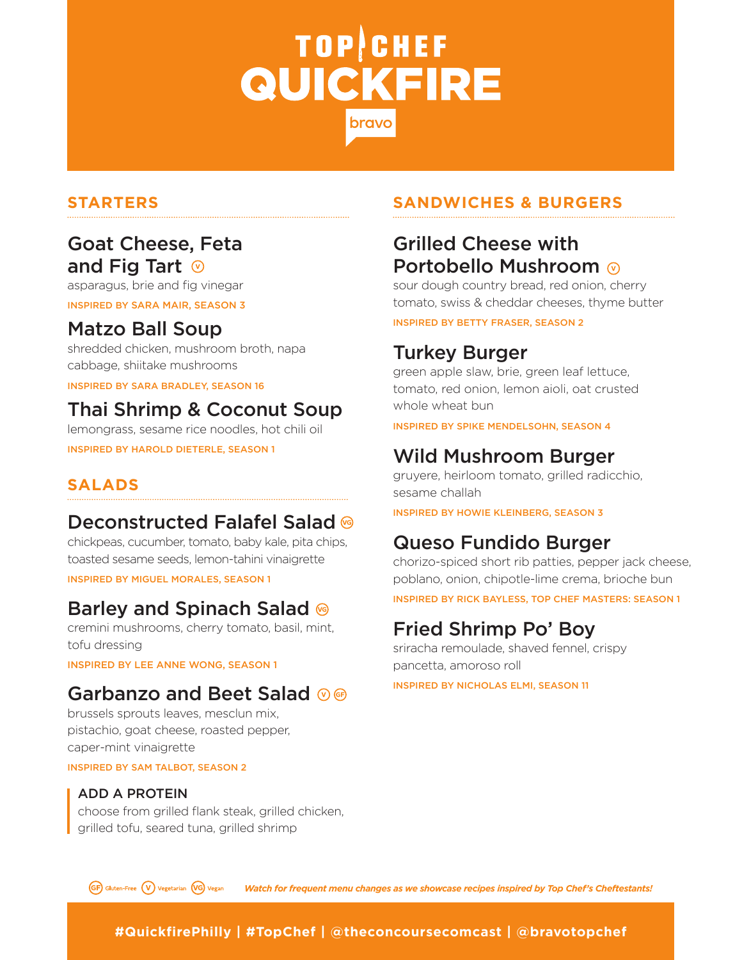# TOP CHEF **QUICKFIRE** bravc

#### Goat Cheese, Feta and Fig Tart  $\odot$

asparagus, brie and fig vinegar

INSPIRED BY SARA MAIR, SEASON 3

#### Matzo Ball Soup

shredded chicken, mushroom broth, napa cabbage, shiitake mushrooms

INSPIRED BY SARA BRADLEY, SEASON 16

### Thai Shrimp & Coconut Soup

lemongrass, sesame rice noodles, hot chili oil INSPIRED BY HAROLD DIETERLE, SEASON 1

#### **SALADS**

#### Deconstructed Falafel Salad <sup>®</sup>

chickpeas, cucumber, tomato, baby kale, pita chips, toasted sesame seeds, lemon-tahini vinaigrette

INSPIRED BY MIGUEL MORALES, SEASON 1

#### Barley and Spinach Salad ®

cremini mushrooms, cherry tomato, basil, mint, tofu dressing

INSPIRED BY LEE ANNE WONG, SEASON 1

#### Garbanzo and Beet Salad **OG**

brussels sprouts leaves, mesclun mix, pistachio, goat cheese, roasted pepper, caper-mint vinaigrette

INSPIRED BY SAM TALBOT, SEASON 2

#### ADD A PROTEIN

choose from grilled flank steak, grilled chicken, grilled tofu, seared tuna, grilled shrimp

#### **STARTERS SANDWICHES & BURGERS**

#### Grilled Cheese with **Portobello Mushroom ⊚**

sour dough country bread, red onion, cherry tomato, swiss & cheddar cheeses, thyme butter

INSPIRED BY BETTY FRASER, SEASON 2

#### Turkey Burger

green apple slaw, brie, green leaf lettuce, tomato, red onion, lemon aioli, oat crusted whole wheat bun

INSPIRED BY SPIKE MENDELSOHN, SEASON 4

#### Wild Mushroom Burger

gruyere, heirloom tomato, grilled radicchio, sesame challah

INSPIRED BY HOWIE KLEINBERG, SEASON 3

#### Queso Fundido Burger

chorizo-spiced short rib patties, pepper jack cheese, poblano, onion, chipotle-lime crema, brioche bun

INSPIRED BY RICK BAYLESS, TOP CHEF MASTERS: SEASON 1

#### Fried Shrimp Po' Boy

sriracha remoulade, shaved fennel, crispy pancetta, amoroso roll

INSPIRED BY NICHOLAS ELMI, SEASON 11

**GF**) Gluten-Free (V) Vegetarian (VG) Vegan *Watch for frequent menu changes as we showcase recipes inspired by Top Chef's Cheftestants!*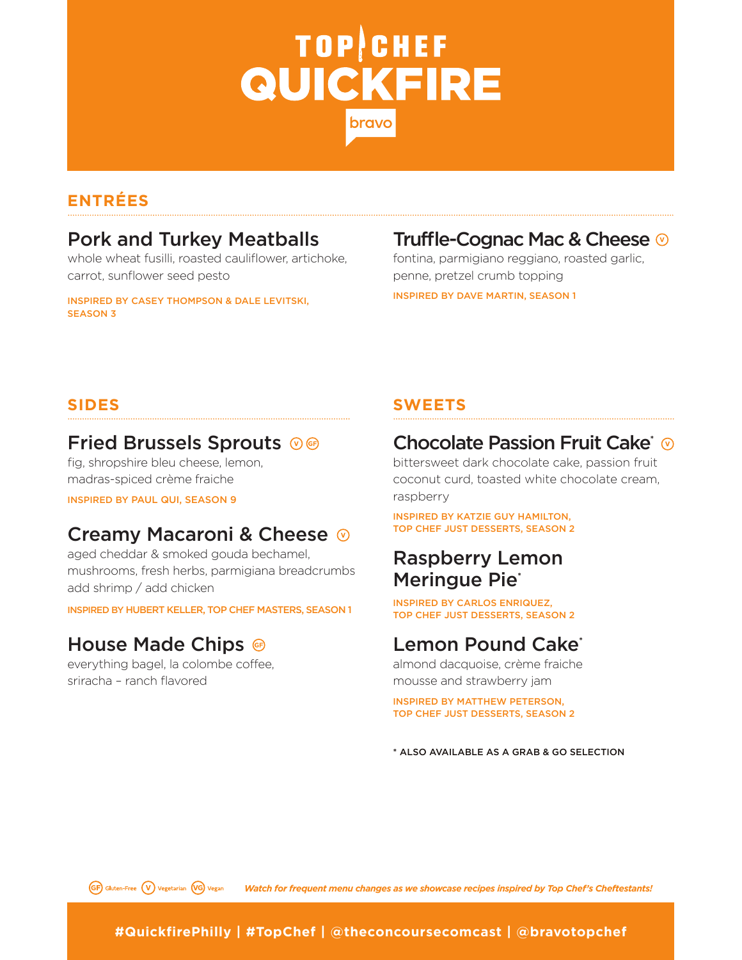# **TOP CHEF QUICKFIRE** bravc

#### **ENTRÉES**

#### Pork and Turkey Meatballs

whole wheat fusilli, roasted cauliflower, artichoke, carrot, sunflower seed pesto

INSPIRED BY CASEY THOMPSON & DALE LEVITSKI, SEASON 3

### Truffle-Cognac Mac & Cheese

fontina, parmigiano reggiano, roasted garlic, penne, pretzel crumb topping INSPIRED BY DAVE MARTIN, SEASON 1

#### Fried Brussels Sprouts ®®

fig, shropshire bleu cheese, lemon, madras-spiced crème fraiche

INSPIRED BY PAUL QUI, SEASON 9

#### Creamy Macaroni & Cheese

aged cheddar & smoked gouda bechamel, mushrooms, fresh herbs, parmigiana breadcrumbs add shrimp / add chicken

INSPIRED BY HUBERT KELLER, TOP CHEF MASTERS, SEASON 1

#### House Made Chips <sup>®</sup>

everything bagel, la colombe coffee, sriracha – ranch flavored

#### **SIDES SWEETS**

#### Chocolate Passion Fruit Cake<sup>\*</sup> ®

bittersweet dark chocolate cake, passion fruit coconut curd, toasted white chocolate cream, raspberry

INSPIRED BY KATZIE GUY HAMILTON, TOP CHEF JUST DESSERTS, SEASON 2

#### Raspberry Lemon Meringue Pie<sup>\*</sup>

INSPIRED BY CARLOS ENRIQUEZ, TOP CHEF JUST DESSERTS, SEASON 2

#### Lemon Pound Cake<sup>\*</sup>

almond dacquoise, crème fraiche mousse and strawberry jam

INSPIRED BY MATTHEW PETERSON, TOP CHEF JUST DESSERTS, SEASON 2

\* ALSO AVAILABLE AS A GRAB & GO SELECTION

**GF**) Gluten-Free **(V)** Vegetarian **(VG**) Vegan

*Watch for frequent menu changes as we showcase recipes inspired by Top Chef's Cheftestants!*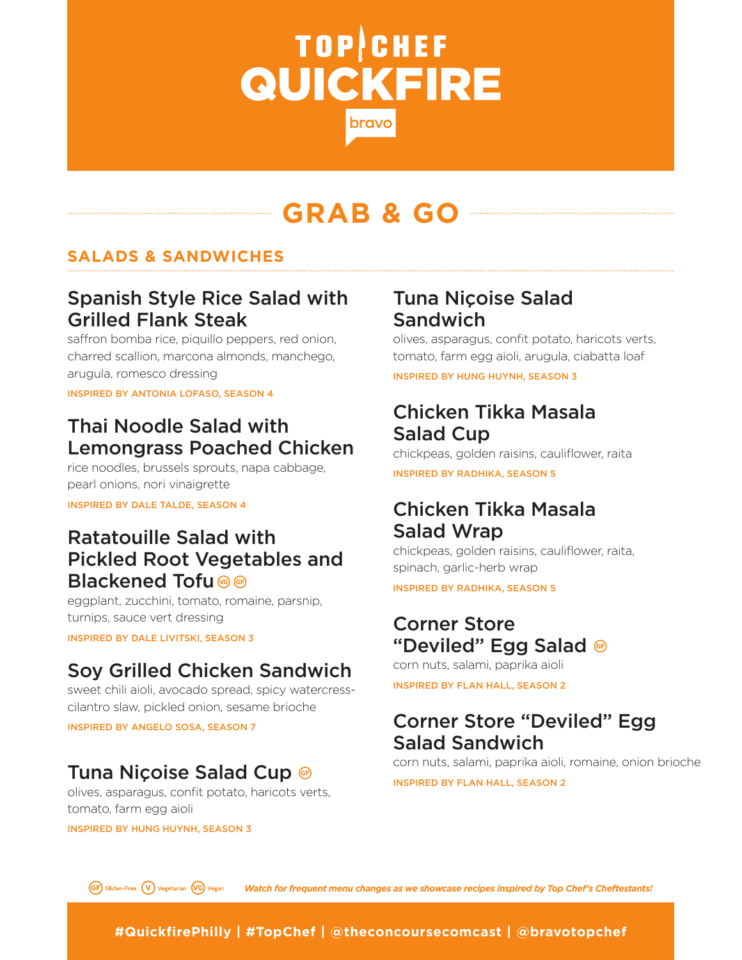# **TOP CHEF QUICKFIRE** bravc

## **GRAB & GO**

#### **SALADS & SANDWICHES**

#### Spanish Style Rice Salad with Grilled Flank Steak

saffron bomba rice, piquillo peppers, red onion, charred scallion, marcona almonds, manchego, arugula, romesco dressing

INSPIRED BY ANTONIA LOFASO, SEASON 4

### Thai Noodle Salad with Lemongrass Poached Chicken

rice noodles, brussels sprouts, napa cabbage, pearl onions, nori vinaigrette

INSPIRED BY DALE TALDE, SEASON 4

#### Ratatouille Salad with Pickled Root Vegetables and Blackened Tofu <sup>®</sup>

eggplant, zucchini, tomato, romaine, parsnip, turnips, sauce vert dressing

INSPIRED BY DALE LIVITSKI, SEASON 3

### Soy Grilled Chicken Sandwich

sweet chili aioli, avocado spread, spicy watercresscilantro slaw, pickled onion, sesame brioche

INSPIRED BY ANGELO SOSA, SEASON 7

#### Tuna Niçoise Salad Cup

olives, asparagus, confit potato, haricots verts, tomato, farm egg aioli

INSPIRED BY HUNG HUYNH, SEASON 3

#### Tuna Niçoise Salad Sandwich

olives, asparagus, confit potato, haricots verts, tomato, farm egg aioli, arugula, ciabatta loaf

INSPIRED BY HUNG HUYNH, SEASON 3

#### Chicken Tikka Masala Salad Cup

chickpeas, golden raisins, cauliflower, raita INSPIRED BY RADHIKA, SEASON 5

#### Chicken Tikka Masala Salad Wrap

chickpeas, golden raisins, cauliflower, raita, spinach, garlic-herb wrap

INSPIRED BY RADHIKA, SEASON 5

#### Corner Store "Deviled" Egg Salad

corn nuts, salami, paprika aioli

INSPIRED BY FLAN HALL, SEASON 2

#### Corner Store "Deviled" Egg Salad Sandwich

corn nuts, salami, paprika aioli, romaine, onion brioche

INSPIRED BY FLAN HALL, SEASON 2

**GF**) Gluten-Free (V) Vegetarian (VG) Vegan *Watch for frequent menu changes as we showcase recipes inspired by Top Chef's Cheftestants!*